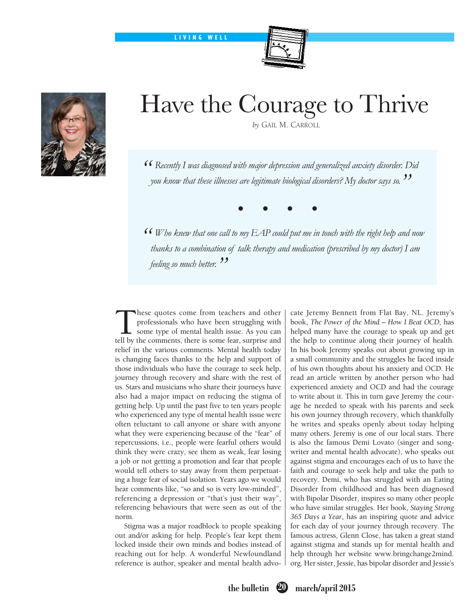LIVING WELL





## Have the Courage to Thrive

 *by* Gail M. Carroll

*" Recently I was diagnosed with major depression and generalized anxiety disorder. Did you know that these illnesses are legitimate biological disorders? My doctor says so."*

*• • • •*

*" Who knew that one call to my EAP could put me in touch with the right help and now thanks to a combination of talk therapy and medication (prescribed by my doctor) I am feeling so much better. "*

These quotes come from teachers and other<br>professionals who have been struggling with<br>some type of mental health issue. As you can<br>tell by the comments there is some fear surprise and professionals who have been struggling with some type of mental health issue. As you can tell by the comments, there is some fear, surprise and relief in the various comments. Mental health today is changing faces thanks to the help and support of those individuals who have the courage to seek help, journey through recovery and share with the rest of us. Stars and musicians who share their journeys have also had a major impact on reducing the stigma of getting help. Up until the past five to ten years people who experienced any type of mental health issue were often reluctant to call anyone or share with anyone what they were experiencing because of the "fear" of repercussions, i.e., people were fearful others would think they were crazy, see them as weak, fear losing a job or not getting a promotion and fear that people would tell others to stay away from them perpetuating a huge fear of social isolation. Years ago we would hear comments like, "so and so is very low-minded", referencing a depression or "that's just their way", referencing behaviours that were seen as out of the norm.

Stigma was a major roadblock to people speaking out and/or asking for help. People's fear kept them locked inside their own minds and bodies instead of reaching out for help. A wonderful Newfoundland reference is author, speaker and mental health advocate Jeremy Bennett from Flat Bay, NL. Jeremy's book, *The Power of the Mind – How I Beat OCD,* has helped many have the courage to speak up and get the help to continue along their journey of health. In his book Jeremy speaks out about growing up in a small community and the struggles he faced inside of his own thoughts about his anxiety and OCD. He read an article written by another person who had experienced anxiety and OCD and had the courage to write about it. This in turn gave Jeremy the courage he needed to speak with his parents and seek his own journey through recovery, which thankfully he writes and speaks openly about today helping many others. Jeremy is one of our local stars. There is also the famous Demi Lovato (singer and songwriter and mental health advocate), who speaks out against stigma and encourages each of us to have the faith and courage to seek help and take the path to recovery. Demi, who has struggled with an Eating Disorder from childhood and has been diagnosed with Bipolar Disorder, inspires so many other people who have similar struggles. Her book, *Staying Strong 365 Days a Year*, has an inspiring quote and advice for each day of your journey through recovery. The famous actress, Glenn Close, has taken a great stand against stigma and stands up for mental health and help through her website www.bringchange2mind. org. Her sister, Jessie, has bipolar disorder and Jessie's